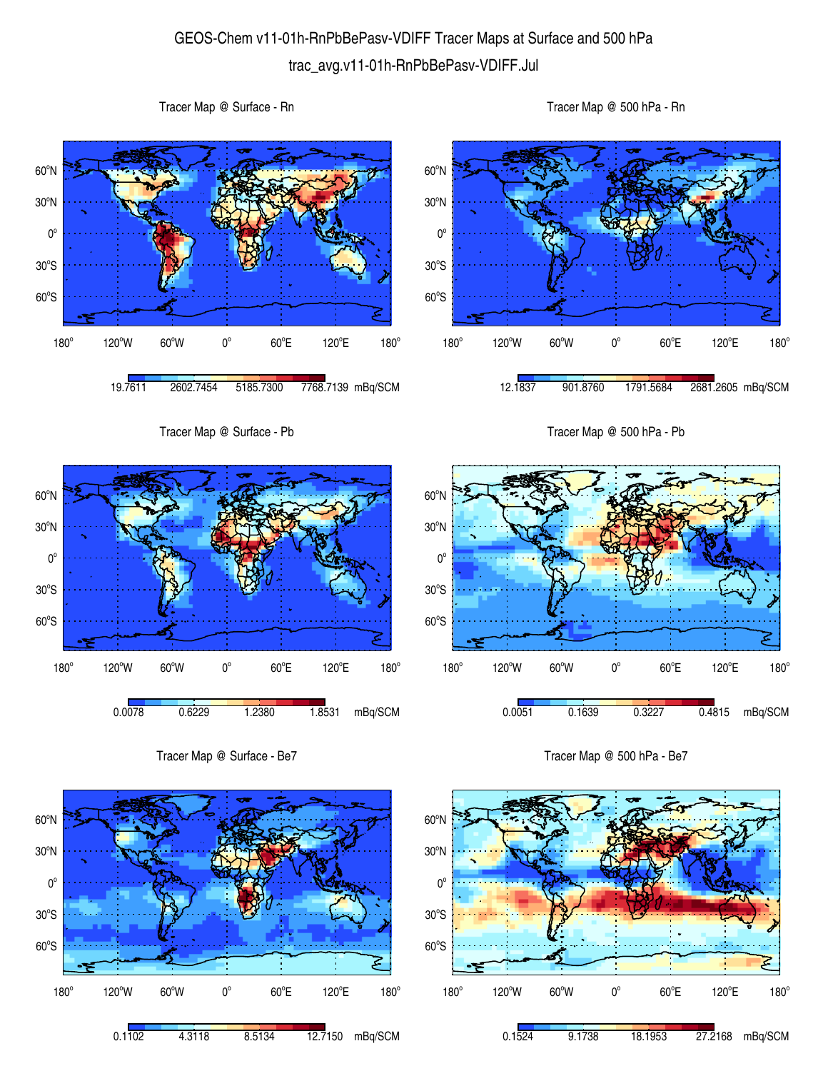## GEOS-Chem v11-01h-RnPbBePasv-VDIFF Tracer Maps at Surface and 500 hPa trac\_avg.v11-01h-RnPbBePasv-VDIFF.Jul

 $60^{\circ}$ S  $30^{\circ}$ S  $0^{\circ}$ 30<sup>°</sup>N 60<sup>o</sup>N 180° 120°W 60°W 0°  $60^{\circ}$ E 120°E  $180^\circ$ 19.7611 2602.7454 5185.7300 7768.7139 mBq/SCM  $60^{\circ}$ S  $30^{\circ}$ S  $0^{\circ}$ 30<sup>°</sup>N 60<sup>o</sup>N  $180^\circ$ 120°W 60°W 0°  $60^{\circ}$ E 120°E 12.1837 901.8760 1791.5684 2681.2605 mBq/SCM Tracer Map @ Surface - Pb  $0^{\circ}$ 30<sup>°</sup>N 60<sup>o</sup>N Tracer Map @ 500 hPa - Pb  $30^{\circ}$ S  $0^{\circ}$ 30<sup>°</sup>N 60<sup>o</sup>N

60°S

180°



Tracer Map @ Surface - Rn

Tracer Map @ Surface - Be7



Tracer Map @ 500 hPa - Be7

 $60^{\circ}$ E

0.0051 0.1639 0.3227 0.4815 mBq/SCM

120°E

 $180^\circ$ 

 $120^{\circ}$ W 60 $^{\circ}$ W 0 $^{\circ}$ 

Tracer Map @ 500 hPa - Rn

 $180^\circ$